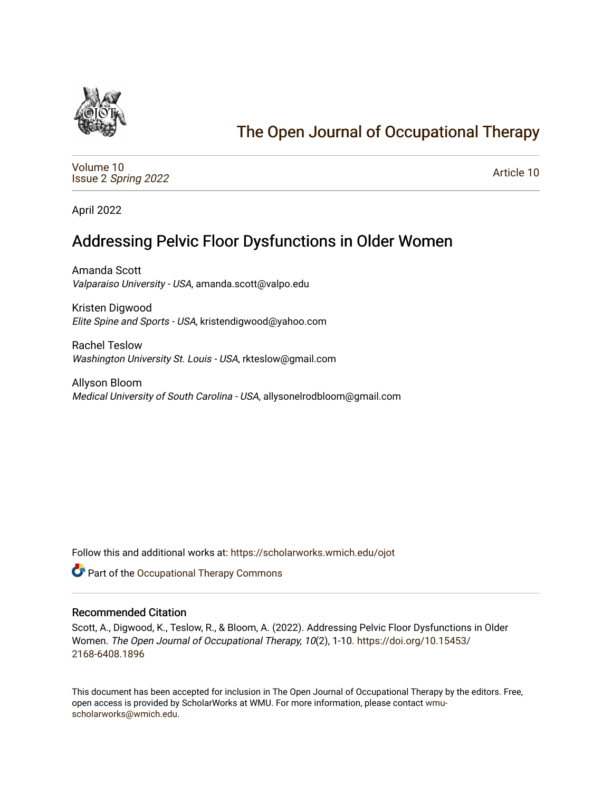

# [The Open Journal of Occupational Therapy](https://scholarworks.wmich.edu/ojot)

[Volume 10](https://scholarworks.wmich.edu/ojot/vol10) Issue 2 [Spring 2022](https://scholarworks.wmich.edu/ojot/vol10/iss2) 

[Article 10](https://scholarworks.wmich.edu/ojot/vol10/iss2/10) 

April 2022

# Addressing Pelvic Floor Dysfunctions in Older Women

Amanda Scott Valparaiso University - USA, amanda.scott@valpo.edu

Kristen Digwood Elite Spine and Sports - USA, kristendigwood@yahoo.com

Rachel Teslow Washington University St. Louis - USA, rkteslow@gmail.com

Allyson Bloom Medical University of South Carolina - USA, allysonelrodbloom@gmail.com

Follow this and additional works at: [https://scholarworks.wmich.edu/ojot](https://scholarworks.wmich.edu/ojot?utm_source=scholarworks.wmich.edu%2Fojot%2Fvol10%2Fiss2%2F10&utm_medium=PDF&utm_campaign=PDFCoverPages)

Part of the [Occupational Therapy Commons](http://network.bepress.com/hgg/discipline/752?utm_source=scholarworks.wmich.edu%2Fojot%2Fvol10%2Fiss2%2F10&utm_medium=PDF&utm_campaign=PDFCoverPages) 

#### Recommended Citation

Scott, A., Digwood, K., Teslow, R., & Bloom, A. (2022). Addressing Pelvic Floor Dysfunctions in Older Women. The Open Journal of Occupational Therapy, 10(2), 1-10. [https://doi.org/10.15453/](https://doi.org/10.15453/2168-6408.1896) [2168-6408.1896](https://doi.org/10.15453/2168-6408.1896) 

This document has been accepted for inclusion in The Open Journal of Occupational Therapy by the editors. Free, open access is provided by ScholarWorks at WMU. For more information, please contact [wmu](mailto:wmu-scholarworks@wmich.edu)[scholarworks@wmich.edu.](mailto:wmu-scholarworks@wmich.edu)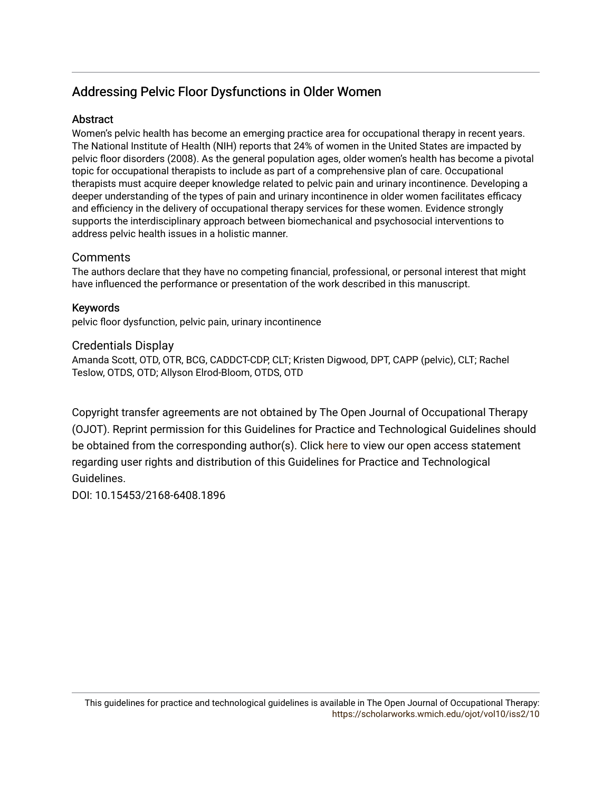# Addressing Pelvic Floor Dysfunctions in Older Women

## **Abstract**

Women's pelvic health has become an emerging practice area for occupational therapy in recent years. The National Institute of Health (NIH) reports that 24% of women in the United States are impacted by pelvic floor disorders (2008). As the general population ages, older women's health has become a pivotal topic for occupational therapists to include as part of a comprehensive plan of care. Occupational therapists must acquire deeper knowledge related to pelvic pain and urinary incontinence. Developing a deeper understanding of the types of pain and urinary incontinence in older women facilitates efficacy and efficiency in the delivery of occupational therapy services for these women. Evidence strongly supports the interdisciplinary approach between biomechanical and psychosocial interventions to address pelvic health issues in a holistic manner.

# **Comments**

The authors declare that they have no competing financial, professional, or personal interest that might have influenced the performance or presentation of the work described in this manuscript.

## Keywords

pelvic floor dysfunction, pelvic pain, urinary incontinence

#### Credentials Display

Amanda Scott, OTD, OTR, BCG, CADDCT-CDP, CLT; Kristen Digwood, DPT, CAPP (pelvic), CLT; Rachel Teslow, OTDS, OTD; Allyson Elrod-Bloom, OTDS, OTD

Copyright transfer agreements are not obtained by The Open Journal of Occupational Therapy (OJOT). Reprint permission for this Guidelines for Practice and Technological Guidelines should be obtained from the corresponding author(s). Click [here](https://scholarworks.wmich.edu/ojot/policies.html#rights) to view our open access statement regarding user rights and distribution of this Guidelines for Practice and Technological Guidelines.

DOI: 10.15453/2168-6408.1896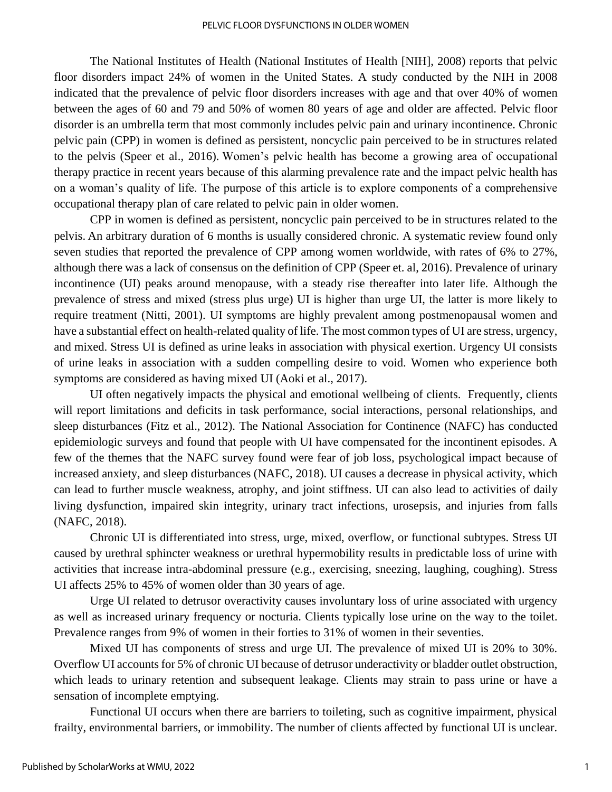The National Institutes of Health (National Institutes of Health [NIH], 2008) reports that pelvic floor disorders impact 24% of women in the United States. A study conducted by the NIH in 2008 indicated that the prevalence of pelvic floor disorders increases with age and that over 40% of women between the ages of 60 and 79 and 50% of women 80 years of age and older are affected. Pelvic floor disorder is an umbrella term that most commonly includes pelvic pain and urinary incontinence. Chronic pelvic pain (CPP) in women is defined as persistent, noncyclic pain perceived to be in structures related to the pelvis (Speer et al., 2016). Women's pelvic health has become a growing area of occupational therapy practice in recent years because of this alarming prevalence rate and the impact pelvic health has on a woman's quality of life. The purpose of this article is to explore components of a comprehensive occupational therapy plan of care related to pelvic pain in older women.

CPP in women is defined as persistent, noncyclic pain perceived to be in structures related to the pelvis. An arbitrary duration of 6 months is usually considered chronic. A systematic review found only seven studies that reported the prevalence of CPP among women worldwide, with rates of 6% to 27%, although there was a lack of consensus on the definition of CPP (Speer et. al, 2016). Prevalence of urinary incontinence (UI) peaks around menopause, with a steady rise thereafter into later life. Although the prevalence of stress and mixed (stress plus urge) UI is higher than urge UI, the latter is more likely to require treatment (Nitti, 2001). UI symptoms are highly prevalent among postmenopausal women and have a substantial effect on health-related quality of life. The most common types of UI are stress, urgency, and mixed. Stress UI is defined as urine leaks in association with physical exertion. Urgency UI consists of urine leaks in association with a sudden compelling desire to void. Women who experience both symptoms are considered as having mixed UI (Aoki et al., 2017).

UI often negatively impacts the physical and emotional wellbeing of clients. Frequently, clients will report limitations and deficits in task performance, social interactions, personal relationships, and sleep disturbances (Fitz et al., 2012). The National Association for Continence (NAFC) has conducted epidemiologic surveys and found that people with UI have compensated for the incontinent episodes. A few of the themes that the NAFC survey found were fear of job loss, psychological impact because of increased anxiety, and sleep disturbances (NAFC, 2018). UI causes a decrease in physical activity, which can lead to further muscle weakness, atrophy, and joint stiffness. UI can also lead to activities of daily living dysfunction, impaired skin integrity, urinary tract infections, urosepsis, and injuries from falls (NAFC, 2018).

Chronic UI is differentiated into stress, urge, mixed, overflow, or functional subtypes. Stress UI caused by urethral sphincter weakness or urethral hypermobility results in predictable loss of urine with activities that increase intra-abdominal pressure (e.g., exercising, sneezing, laughing, coughing). Stress UI affects 25% to 45% of women older than 30 years of age.

Urge UI related to detrusor overactivity causes involuntary loss of urine associated with urgency as well as increased urinary frequency or nocturia. Clients typically lose urine on the way to the toilet. Prevalence ranges from 9% of women in their forties to 31% of women in their seventies.

Mixed UI has components of stress and urge UI. The prevalence of mixed UI is 20% to 30%. Overflow UI accounts for 5% of chronic UI because of detrusor underactivity or bladder outlet obstruction, which leads to urinary retention and subsequent leakage. Clients may strain to pass urine or have a sensation of incomplete emptying.

Functional UI occurs when there are barriers to toileting, such as cognitive impairment, physical frailty, environmental barriers, or immobility. The number of clients affected by functional UI is unclear.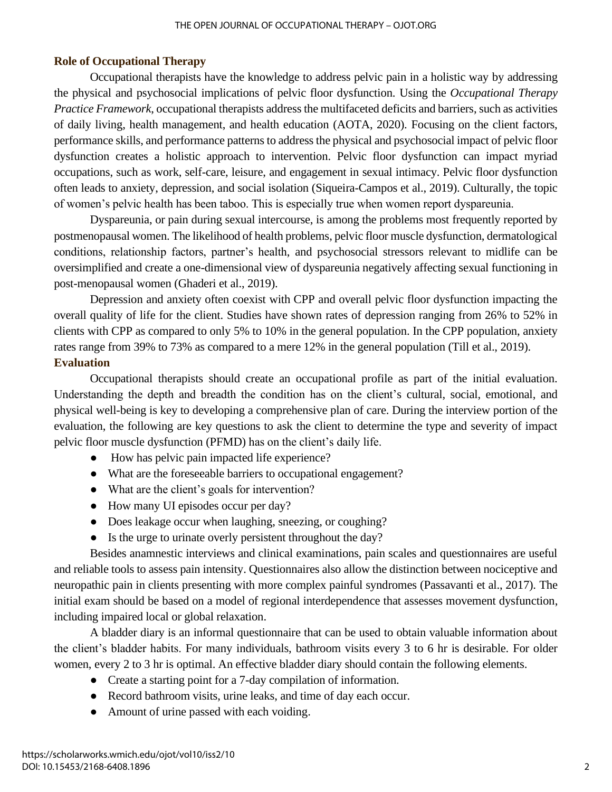# **Role of Occupational Therapy**

Occupational therapists have the knowledge to address pelvic pain in a holistic way by addressing the physical and psychosocial implications of pelvic floor dysfunction. Using the *Occupational Therapy Practice Framework*, occupational therapists address the multifaceted deficits and barriers, such as activities of daily living, health management, and health education (AOTA, 2020). Focusing on the client factors, performance skills, and performance patterns to address the physical and psychosocial impact of pelvic floor dysfunction creates a holistic approach to intervention. Pelvic floor dysfunction can impact myriad occupations, such as work, self-care, leisure, and engagement in sexual intimacy. Pelvic floor dysfunction often leads to anxiety, depression, and social isolation (Siqueira-Campos et al., 2019). Culturally, the topic of women's pelvic health has been taboo. This is especially true when women report dyspareunia.

Dyspareunia, or pain during sexual intercourse, is among the problems most frequently reported by postmenopausal women. The likelihood of health problems, pelvic floor muscle dysfunction, dermatological conditions, relationship factors, partner's health, and psychosocial stressors relevant to midlife can be oversimplified and create a one-dimensional view of dyspareunia negatively affecting sexual functioning in post-menopausal women (Ghaderi et al., 2019).

Depression and anxiety often coexist with CPP and overall pelvic floor dysfunction impacting the overall quality of life for the client. Studies have shown rates of depression ranging from 26% to 52% in clients with CPP as compared to only 5% to 10% in the general population. In the CPP population, anxiety rates range from 39% to 73% as compared to a mere 12% in the general population (Till et al., 2019). **Evaluation**

Occupational therapists should create an occupational profile as part of the initial evaluation. Understanding the depth and breadth the condition has on the client's cultural, social, emotional, and physical well-being is key to developing a comprehensive plan of care. During the interview portion of the evaluation, the following are key questions to ask the client to determine the type and severity of impact pelvic floor muscle dysfunction (PFMD) has on the client's daily life.

- How has pelvic pain impacted life experience?
- What are the foreseeable barriers to occupational engagement?
- What are the client's goals for intervention?
- How many UI episodes occur per day?
- Does leakage occur when laughing, sneezing, or coughing?
- Is the urge to urinate overly persistent throughout the day?

Besides anamnestic interviews and clinical examinations, pain scales and questionnaires are useful and reliable tools to assess pain intensity. Questionnaires also allow the distinction between nociceptive and neuropathic pain in clients presenting with more complex painful syndromes (Passavanti et al., 2017). The initial exam should be based on a model of regional interdependence that assesses movement dysfunction, including impaired local or global relaxation.

A bladder diary is an informal questionnaire that can be used to obtain valuable information about the client's bladder habits. For many individuals, bathroom visits every 3 to 6 hr is desirable. For older women, every 2 to 3 hr is optimal. An effective bladder diary should contain the following elements.

- Create a starting point for a 7-day compilation of information.
- Record bathroom visits, urine leaks, and time of day each occur.
- Amount of urine passed with each voiding.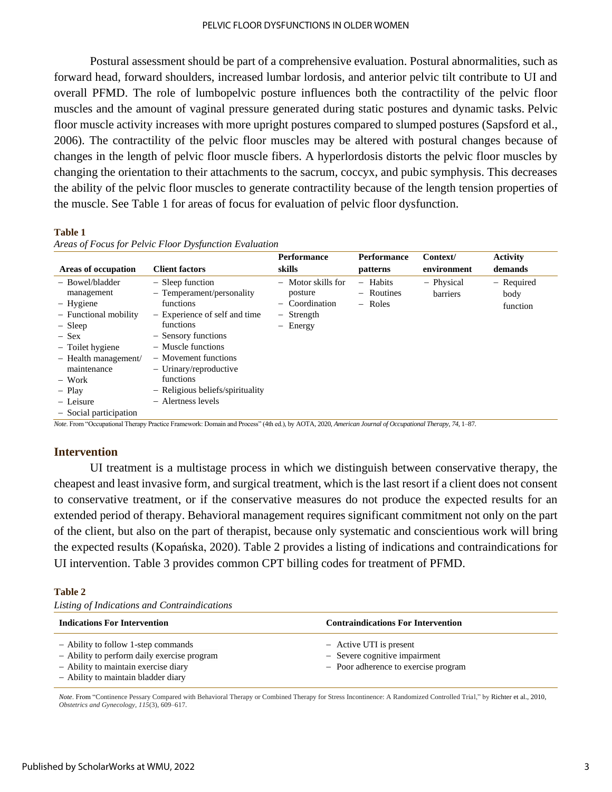#### PELVIC FLOOR DYSFUNCTIONS IN OLDER WOMEN

Postural assessment should be part of a comprehensive evaluation. Postural abnormalities, such as forward head, forward shoulders, increased lumbar lordosis, and anterior pelvic tilt contribute to UI and overall PFMD. The role of lumbopelvic posture influences both the contractility of the pelvic floor muscles and the amount of vaginal pressure generated during static postures and dynamic tasks. Pelvic floor muscle activity increases with more upright postures compared to slumped postures (Sapsford et al., 2006). The contractility of the pelvic floor muscles may be altered with postural changes because of changes in the length of pelvic floor muscle fibers. A hyperlordosis distorts the pelvic floor muscles by changing the orientation to their attachments to the sacrum, coccyx, and pubic symphysis. This decreases the ability of the pelvic floor muscles to generate contractility because of the length tension properties of the muscle. See Table 1 for areas of focus for evaluation of pelvic floor dysfunction.

#### **Table 1**

|                                                                                                                                                                                                                       |                                                                                                                                                                                                                                                                                      | <b>Performance</b>                                                                                            | Performance                                                     | Context/               | <b>Activity</b>                |
|-----------------------------------------------------------------------------------------------------------------------------------------------------------------------------------------------------------------------|--------------------------------------------------------------------------------------------------------------------------------------------------------------------------------------------------------------------------------------------------------------------------------------|---------------------------------------------------------------------------------------------------------------|-----------------------------------------------------------------|------------------------|--------------------------------|
| Areas of occupation                                                                                                                                                                                                   | <b>Client factors</b>                                                                                                                                                                                                                                                                | skills                                                                                                        | patterns                                                        | environment            | demands                        |
| - Bowel/bladder<br>management<br>- Hygiene<br>- Functional mobility<br>$-$ Sleep<br>$-$ Sex<br>- Toilet hygiene<br>$-$ Health management/<br>maintenance<br>– Work<br>$-$ Play<br>- Leisure<br>- Social participation | $-$ Sleep function<br>- Temperament/personality<br>functions<br>- Experience of self and time<br>functions<br>- Sensory functions<br>$-$ Muscle functions<br>- Movement functions<br>$-$ Urinary/reproductive<br>functions<br>- Religious beliefs/spirituality<br>- Alertness levels | - Motor skills for<br>posture<br>Coordination<br>$-$<br>Strength<br>$-$<br>Energy<br>$\overline{\phantom{0}}$ | Habits<br>$\overline{\phantom{m}}$<br>$-$ Routines<br>$-$ Roles | - Physical<br>barriers | - Required<br>body<br>function |

*Areas of Focus for Pelvic Floor Dysfunction Evaluation*

*Note*. From "Occupational Therapy Practice Framework: Domain and Process" (4th ed.), by AOTA, 2020, *American Journal of Occupational Therapy*, *74*, 1–87.

#### **Intervention**

UI treatment is a multistage process in which we distinguish between conservative therapy, the cheapest and least invasive form, and surgical treatment, which is the last resort if a client does not consent to conservative treatment, or if the conservative measures do not produce the expected results for an extended period of therapy. Behavioral management requires significant commitment not only on the part of the client, but also on the part of therapist, because only systematic and conscientious work will bring the expected results (Kopańska, 2020). Table 2 provides a listing of indications and contraindications for UI intervention. Table 3 provides common CPT billing codes for treatment of PFMD.

#### **Table 2**

| Listing of Indications and Contraindications |
|----------------------------------------------|
|----------------------------------------------|

| <b>Indications For Intervention</b>                                                                                                                               | <b>Contraindications For Intervention</b>                                                        |  |
|-------------------------------------------------------------------------------------------------------------------------------------------------------------------|--------------------------------------------------------------------------------------------------|--|
| - Ability to follow 1-step commands<br>- Ability to perform daily exercise program<br>- Ability to maintain exercise diary<br>- Ability to maintain bladder diary | - Active UTI is present<br>- Severe cognitive impairment<br>- Poor adherence to exercise program |  |

*Note*. From "Continence Pessary Compared with Behavioral Therapy or Combined Therapy for Stress Incontinence: A Randomized Controlled Trial," by Richter et al., 2010, *Obstetrics and Gynecology*, *115*(3), 609–617.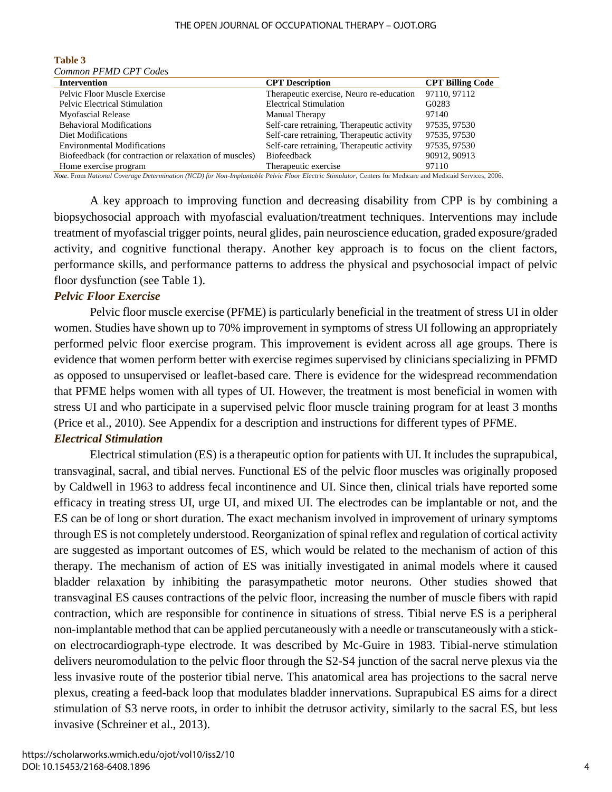#### THE OPEN JOURNAL OF OCCUPATIONAL THERAPY – OJOT.ORG

| Common PFMD CPT Codes                                  |                                            |                         |
|--------------------------------------------------------|--------------------------------------------|-------------------------|
| <b>Intervention</b>                                    | <b>CPT</b> Description                     | <b>CPT Billing Code</b> |
| Pelvic Floor Muscle Exercise                           | Therapeutic exercise, Neuro re-education   | 97110, 97112            |
| <b>Pelvic Electrical Stimulation</b>                   | <b>Electrical Stimulation</b>              | G0283                   |
| <b>Myofascial Release</b>                              | Manual Therapy                             | 97140                   |
| <b>Behavioral Modifications</b>                        | Self-care retraining, Therapeutic activity | 97535, 97530            |
| Diet Modifications                                     | Self-care retraining, Therapeutic activity | 97535, 97530            |
| <b>Environmental Modifications</b>                     | Self-care retraining, Therapeutic activity | 97535, 97530            |
| Biofeedback (for contraction or relaxation of muscles) | <b>Biofeedback</b>                         | 90912, 90913            |
| Home exercise program                                  | Therapeutic exercise                       | 97110                   |
|                                                        |                                            |                         |

# **Table 3**

*Note*. From *National Coverage Determination (NCD) for Non-Implantable Pelvic Floor Electric Stimulator*, Centers for Medicare and Medicaid Services, 2006.

A key approach to improving function and decreasing disability from CPP is by combining a biopsychosocial approach with myofascial evaluation/treatment techniques. Interventions may include treatment of myofascial trigger points, neural glides, pain neuroscience education, graded exposure/graded activity, and cognitive functional therapy. Another key approach is to focus on the client factors, performance skills, and performance patterns to address the physical and psychosocial impact of pelvic floor dysfunction (see Table 1).

#### *Pelvic Floor Exercise*

Pelvic floor muscle exercise (PFME) is particularly beneficial in the treatment of stress UI in older women. Studies have shown up to 70% improvement in symptoms of stress UI following an appropriately performed pelvic floor exercise program. This improvement is evident across all age groups. There is evidence that women perform better with exercise regimes supervised by clinicians specializing in PFMD as opposed to unsupervised or leaflet-based care. There is evidence for the widespread recommendation that PFME helps women with all types of UI. However, the treatment is most beneficial in women with stress UI and who participate in a supervised pelvic floor muscle training program for at least 3 months (Price et al., 2010). See Appendix for a description and instructions for different types of PFME.

#### *Electrical Stimulation*

Electrical stimulation (ES) is a therapeutic option for patients with UI. It includes the suprapubical, transvaginal, sacral, and tibial nerves. Functional ES of the pelvic floor muscles was originally proposed by Caldwell in 1963 to address fecal incontinence and UI. Since then, clinical trials have reported some efficacy in treating stress UI, urge UI, and mixed UI. The electrodes can be implantable or not, and the ES can be of long or short duration. The exact mechanism involved in improvement of urinary symptoms through ES is not completely understood. Reorganization of spinal reflex and regulation of cortical activity are suggested as important outcomes of ES, which would be related to the mechanism of action of this therapy. The mechanism of action of ES was initially investigated in animal models where it caused bladder relaxation by inhibiting the parasympathetic motor neurons. Other studies showed that transvaginal ES causes contractions of the pelvic floor, increasing the number of muscle fibers with rapid contraction, which are responsible for continence in situations of stress. Tibial nerve ES is a peripheral non-implantable method that can be applied percutaneously with a needle or transcutaneously with a stickon electrocardiograph-type electrode. It was described by Mc-Guire in 1983. Tibial-nerve stimulation delivers neuromodulation to the pelvic floor through the S2-S4 junction of the sacral nerve plexus via the less invasive route of the posterior tibial nerve. This anatomical area has projections to the sacral nerve plexus, creating a feed-back loop that modulates bladder innervations. Suprapubical ES aims for a direct stimulation of S3 nerve roots, in order to inhibit the detrusor activity, similarly to the sacral ES, but less invasive (Schreiner et al., 2013).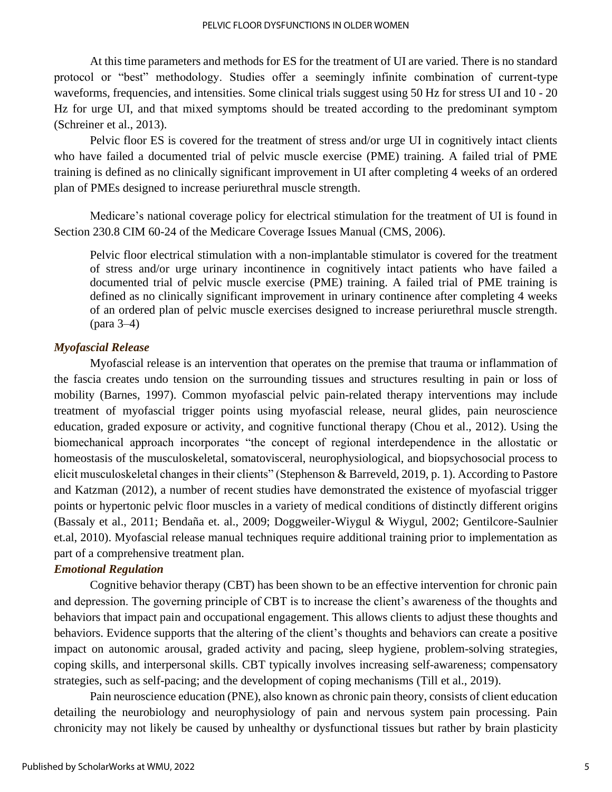At this time parameters and methods for ES for the treatment of UI are varied. There is no standard protocol or "best" methodology. Studies offer a seemingly infinite combination of current-type waveforms, frequencies, and intensities. Some clinical trials suggest using 50 Hz for stress UI and 10 - 20 Hz for urge UI, and that mixed symptoms should be treated according to the predominant symptom (Schreiner et al., 2013).

Pelvic floor ES is covered for the treatment of stress and/or urge UI in cognitively intact clients who have failed a documented trial of pelvic muscle exercise (PME) training. A failed trial of PME training is defined as no clinically significant improvement in UI after completing 4 weeks of an ordered plan of PMEs designed to increase periurethral muscle strength.

Medicare's national coverage policy for electrical stimulation for the treatment of UI is found in Section 230.8 CIM 60-24 of the Medicare Coverage Issues Manual (CMS, 2006).

Pelvic floor electrical stimulation with a non-implantable stimulator is covered for the treatment of stress and/or urge urinary incontinence in cognitively intact patients who have failed a documented trial of pelvic muscle exercise (PME) training. A failed trial of PME training is defined as no clinically significant improvement in urinary continence after completing 4 weeks of an ordered plan of pelvic muscle exercises designed to increase periurethral muscle strength. (para 3–4)

#### *Myofascial Release*

Myofascial release is an intervention that operates on the premise that trauma or inflammation of the fascia creates undo tension on the surrounding tissues and structures resulting in pain or loss of mobility (Barnes, 1997). Common myofascial pelvic pain-related therapy interventions may include treatment of myofascial trigger points using myofascial release, neural glides, pain neuroscience education, graded exposure or activity, and cognitive functional therapy (Chou et al., 2012). Using the biomechanical approach incorporates "the concept of regional interdependence in the allostatic or homeostasis of the musculoskeletal, somatovisceral, neurophysiological, and biopsychosocial process to elicit musculoskeletal changes in their clients" (Stephenson & Barreveld, 2019, p. 1). According to Pastore and Katzman (2012), a number of recent studies have demonstrated the existence of myofascial trigger points or hypertonic pelvic floor muscles in a variety of medical conditions of distinctly different origins (Bassaly et al., 2011; Bendaña et. al., 2009; Doggweiler-Wiygul & Wiygul, 2002; Gentilcore-Saulnier et.al, 2010). Myofascial release manual techniques require additional training prior to implementation as part of a comprehensive treatment plan.

#### *Emotional Regulation*

Cognitive behavior therapy (CBT) has been shown to be an effective intervention for chronic pain and depression. The governing principle of CBT is to increase the client's awareness of the thoughts and behaviors that impact pain and occupational engagement. This allows clients to adjust these thoughts and behaviors. Evidence supports that the altering of the client's thoughts and behaviors can create a positive impact on autonomic arousal, graded activity and pacing, sleep hygiene, problem-solving strategies, coping skills, and interpersonal skills. CBT typically involves increasing self-awareness; compensatory strategies, such as self-pacing; and the development of coping mechanisms (Till et al., 2019).

Pain neuroscience education (PNE), also known as chronic pain theory, consists of client education detailing the neurobiology and neurophysiology of pain and nervous system pain processing. Pain chronicity may not likely be caused by unhealthy or dysfunctional tissues but rather by brain plasticity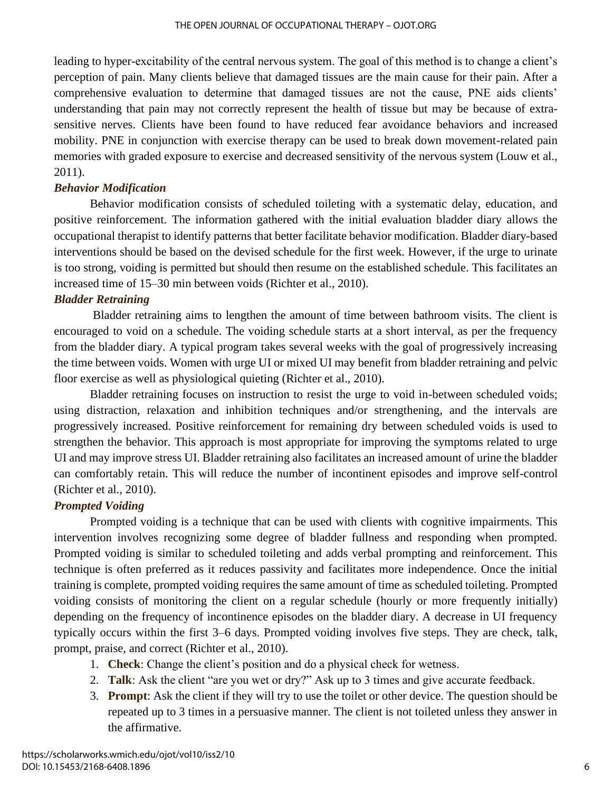leading to hyper-excitability of the central nervous system. The goal of this method is to change a client's perception of pain. Many clients believe that damaged tissues are the main cause for their pain. After a comprehensive evaluation to determine that damaged tissues are not the cause, PNE aids clients' understanding that pain may not correctly represent the health of tissue but may be because of extrasensitive nerves. Clients have been found to have reduced fear avoidance behaviors and increased mobility. PNE in conjunction with exercise therapy can be used to break down movement-related pain memories with graded exposure to exercise and decreased sensitivity of the nervous system (Louw et al., 2011).

### *Behavior Modification*

Behavior modification consists of scheduled toileting with a systematic delay, education, and positive reinforcement. The information gathered with the initial evaluation bladder diary allows the occupational therapist to identify patterns that better facilitate behavior modification. Bladder diary-based interventions should be based on the devised schedule for the first week. However, if the urge to urinate is too strong, voiding is permitted but should then resume on the established schedule. This facilitates an increased time of 15–30 min between voids (Richter et al., 2010).

#### *Bladder Retraining*

Bladder retraining aims to lengthen the amount of time between bathroom visits. The client is encouraged to void on a schedule. The voiding schedule starts at a short interval, as per the frequency from the bladder diary. A typical program takes several weeks with the goal of progressively increasing the time between voids. Women with urge UI or mixed UI may benefit from bladder retraining and pelvic floor exercise as well as physiological quieting (Richter et al., 2010).

Bladder retraining focuses on instruction to resist the urge to void in-between scheduled voids; using distraction, relaxation and inhibition techniques and/or strengthening, and the intervals are progressively increased. Positive reinforcement for remaining dry between scheduled voids is used to strengthen the behavior. This approach is most appropriate for improving the symptoms related to urge UI and may improve stress UI. Bladder retraining also facilitates an increased amount of urine the bladder can comfortably retain. This will reduce the number of incontinent episodes and improve self-control (Richter et al., 2010).

# *Prompted Voiding*

Prompted voiding is a technique that can be used with clients with cognitive impairments. This intervention involves recognizing some degree of bladder fullness and responding when prompted. Prompted voiding is similar to scheduled toileting and adds verbal prompting and reinforcement. This technique is often preferred as it reduces passivity and facilitates more independence. Once the initial training is complete, prompted voiding requires the same amount of time as scheduled toileting. Prompted voiding consists of monitoring the client on a regular schedule (hourly or more frequently initially) depending on the frequency of incontinence episodes on the bladder diary. A decrease in UI frequency typically occurs within the first 3–6 days. Prompted voiding involves five steps. They are check, talk, prompt, praise, and correct (Richter et al., 2010).

- 1. **Check**: Change the client's position and do a physical check for wetness.
- 2. **Talk**: Ask the client "are you wet or dry?" Ask up to 3 times and give accurate feedback.
- 3. **Prompt**: Ask the client if they will try to use the toilet or other device. The question should be repeated up to 3 times in a persuasive manner. The client is not toileted unless they answer in the affirmative.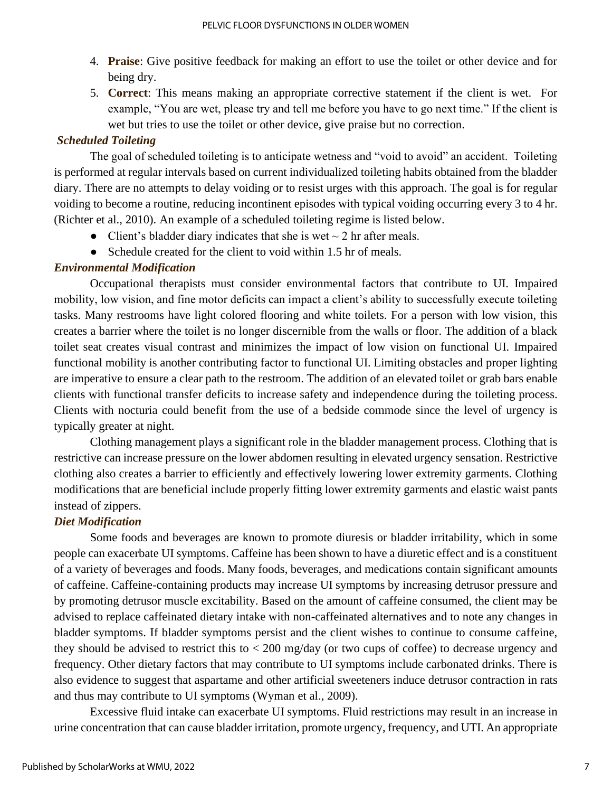- 4. **Praise**: Give positive feedback for making an effort to use the toilet or other device and for being dry.
- 5. **Correct**: This means making an appropriate corrective statement if the client is wet. For example, "You are wet, please try and tell me before you have to go next time." If the client is wet but tries to use the toilet or other device, give praise but no correction.

# *Scheduled Toileting*

The goal of scheduled toileting is to anticipate wetness and "void to avoid" an accident. Toileting is performed at regular intervals based on current individualized toileting habits obtained from the bladder diary. There are no attempts to delay voiding or to resist urges with this approach. The goal is for regular voiding to become a routine, reducing incontinent episodes with typical voiding occurring every 3 to 4 hr. (Richter et al., 2010). An example of a scheduled toileting regime is listed below.

- Client's bladder diary indicates that she is wet  $\sim$  2 hr after meals.
- Schedule created for the client to void within 1.5 hr of meals.

# *Environmental Modification*

Occupational therapists must consider environmental factors that contribute to UI. Impaired mobility, low vision, and fine motor deficits can impact a client's ability to successfully execute toileting tasks. Many restrooms have light colored flooring and white toilets. For a person with low vision, this creates a barrier where the toilet is no longer discernible from the walls or floor. The addition of a black toilet seat creates visual contrast and minimizes the impact of low vision on functional UI. Impaired functional mobility is another contributing factor to functional UI. Limiting obstacles and proper lighting are imperative to ensure a clear path to the restroom. The addition of an elevated toilet or grab bars enable clients with functional transfer deficits to increase safety and independence during the toileting process. Clients with nocturia could benefit from the use of a bedside commode since the level of urgency is typically greater at night.

Clothing management plays a significant role in the bladder management process. Clothing that is restrictive can increase pressure on the lower abdomen resulting in elevated urgency sensation. Restrictive clothing also creates a barrier to efficiently and effectively lowering lower extremity garments. Clothing modifications that are beneficial include properly fitting lower extremity garments and elastic waist pants instead of zippers.

# *Diet Modification*

Some foods and beverages are known to promote diuresis or bladder irritability, which in some people can exacerbate UI symptoms. Caffeine has been shown to have a diuretic effect and is a constituent of a variety of beverages and foods. Many foods, beverages, and medications contain significant amounts of caffeine. Caffeine-containing products may increase UI symptoms by increasing detrusor pressure and by promoting detrusor muscle excitability. Based on the amount of caffeine consumed, the client may be advised to replace caffeinated dietary intake with non-caffeinated alternatives and to note any changes in bladder symptoms. If bladder symptoms persist and the client wishes to continue to consume caffeine, they should be advised to restrict this to < 200 mg/day (or two cups of coffee) to decrease urgency and frequency. Other dietary factors that may contribute to UI symptoms include carbonated drinks. There is also evidence to suggest that aspartame and other artificial sweeteners induce detrusor contraction in rats and thus may contribute to UI symptoms (Wyman et al., 2009).

Excessive fluid intake can exacerbate UI symptoms. Fluid restrictions may result in an increase in urine concentration that can cause bladder irritation, promote urgency, frequency, and UTI. An appropriate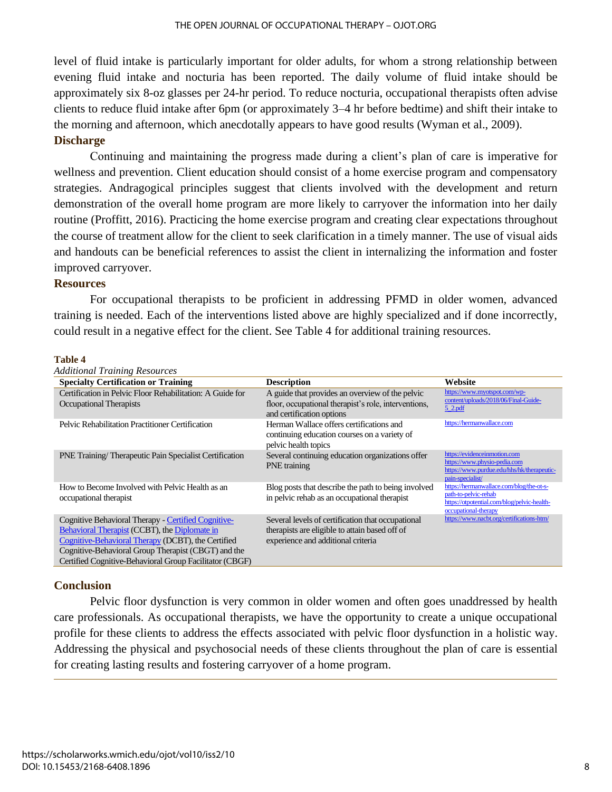level of fluid intake is particularly important for older adults, for whom a strong relationship between evening fluid intake and nocturia has been reported. The daily volume of fluid intake should be approximately six 8-oz glasses per 24-hr period. To reduce nocturia, occupational therapists often advise clients to reduce fluid intake after 6pm (or approximately 3–4 hr before bedtime) and shift their intake to the morning and afternoon, which anecdotally appears to have good results (Wyman et al., 2009). **Discharge**

Continuing and maintaining the progress made during a client's plan of care is imperative for wellness and prevention. Client education should consist of a home exercise program and compensatory strategies. Andragogical principles suggest that clients involved with the development and return demonstration of the overall home program are more likely to carryover the information into her daily routine (Proffitt, 2016). Practicing the home exercise program and creating clear expectations throughout the course of treatment allow for the client to seek clarification in a timely manner. The use of visual aids and handouts can be beneficial references to assist the client in internalizing the information and foster improved carryover.

#### **Resources**

For occupational therapists to be proficient in addressing PFMD in older women, advanced training is needed. Each of the interventions listed above are highly specialized and if done incorrectly, could result in a negative effect for the client. See Table 4 for additional training resources.

#### **Table 4**

| <b>Additional Training Resources</b>                                                                                                                                                                                                                                         |                                                                                                                                           |                                                                                                                                         |
|------------------------------------------------------------------------------------------------------------------------------------------------------------------------------------------------------------------------------------------------------------------------------|-------------------------------------------------------------------------------------------------------------------------------------------|-----------------------------------------------------------------------------------------------------------------------------------------|
| <b>Specialty Certification or Training</b>                                                                                                                                                                                                                                   | <b>Description</b>                                                                                                                        | Website                                                                                                                                 |
| Certification in Pelvic Floor Rehabilitation: A Guide for<br>Occupational Therapists                                                                                                                                                                                         | A guide that provides an overview of the pelvic<br>floor, occupational therapist's role, interventions,<br>and certification options      | https://www.myotspot.com/wp-<br>content/uploads/2018/06/Final-Guide-<br>$5$ 2.pdf                                                       |
| Pelvic Rehabilitation Practitioner Certification                                                                                                                                                                                                                             | Herman Wallace offers certifications and<br>continuing education courses on a variety of<br>pelvic health topics                          | https://hermanwallace.com                                                                                                               |
| PNE Training/Therapeutic Pain Specialist Certification                                                                                                                                                                                                                       | Several continuing education organizations offer<br>PNE training                                                                          | https://evidenceinmotion.com<br>https://www.physio-pedia.com<br>https://www.purdue.edu/hhs/hk/therapeutic-<br>pain-specialist/          |
| How to Become Involved with Pelvic Health as an<br>occupational therapist                                                                                                                                                                                                    | Blog posts that describe the path to being involved<br>in pelvic rehab as an occupational therapist                                       | https://hermanwallace.com/blog/the-ot-s-<br>path-to-pelvic-rehab<br>https://otpotential.com/blog/pelvic-health-<br>occupational-therapy |
| Cognitive Behavioral Therapy - Certified Cognitive-<br>Behavioral Therapist (CCBT), the Diplomate in<br>Cognitive-Behavioral Therapy (DCBT), the Certified<br>Cognitive-Behavioral Group Therapist (CBGT) and the<br>Certified Cognitive-Behavioral Group Facilitator (CBGF) | Several levels of certification that occupational<br>therapists are eligible to attain based off of<br>experience and additional criteria | https://www.nacbt.org/certifications-htm/                                                                                               |

#### **Conclusion**

Pelvic floor dysfunction is very common in older women and often goes unaddressed by health care professionals. As occupational therapists, we have the opportunity to create a unique occupational profile for these clients to address the effects associated with pelvic floor dysfunction in a holistic way. Addressing the physical and psychosocial needs of these clients throughout the plan of care is essential for creating lasting results and fostering carryover of a home program.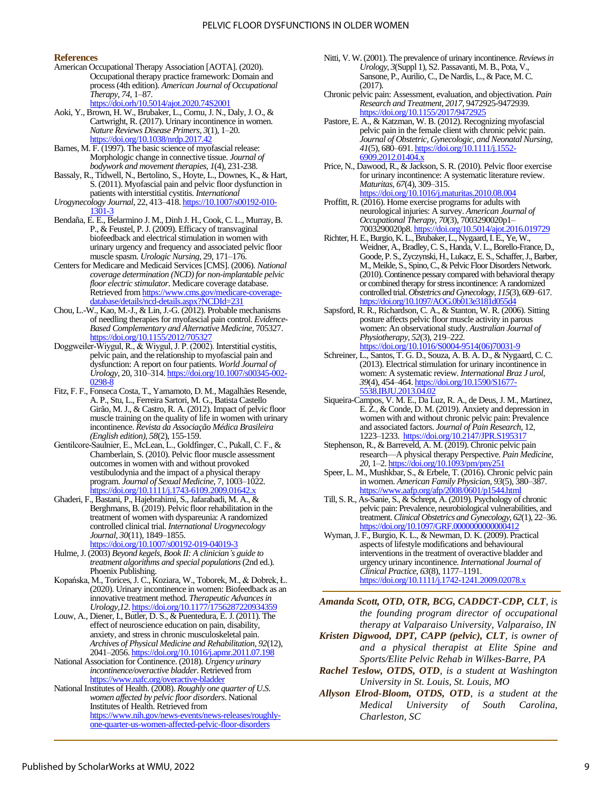#### **References**

- American Occupational Therapy Association [AOTA]. (2020). Occupational therapy practice framework: Domain and process(4th edition). *American Journal of Occupational Therapy*, *74*, 1–87. <https://doi.orh/10.5014/ajot.2020.74S2001>
- Aoki, Y., Brown, H. W., Brubaker, L., Cornu, J. N., Daly, J. O., & Cartwright, R. (2017). Urinary incontinence in women. *Nature Reviews Disease Primers*, *3*(1), 1–20.
- <https://doi.org/10.1038/nrdp.2017.42> Barnes, M. F. (1997). The basic science of myofascial release: Morphologic change in connective tissue. *Journal of bodywork and movement therapies, 1*(4), 231-238.
- Bassaly, R., Tidwell, N., Bertolino, S., Hoyte, L., Downes, K., & Hart, S. (2011). Myofascial pain and pelvic floor dysfunction in patients with interstitial cystitis. *International*
- *Urogynecology Journal*, 22, 413–418[. https://10.1007/s00192-010-](https://10.0.3.239/s00192-010-1301-3) [1301-3](https://10.0.3.239/s00192-010-1301-3)
- Bendaña, E. E., Belarmino J. M., Dinh J. H., Cook, C. L., Murray, B. P., & Feustel, P. J. (2009). Efficacy of transvaginal biofeedback and electrical stimulation in women with urinary urgency and frequency and associated pelvic floor muscle spasm. *Urologic Nursing*, 29, 171–176.
- Centers for Medicare and Medicaid Services [CMS]. (2006). *National coverage determination (NCD) for non-implantable pelvic floor electric stimulator*. Medicare coverage database. Retrieved fro[m https://www.cms.gov/medicare-coverage](https://www.cms.gov/medicare-coverage-database/details/ncd-details.aspx?NCDId=231)[database/details/ncd-details.aspx?NCDId=231](https://www.cms.gov/medicare-coverage-database/details/ncd-details.aspx?NCDId=231)
- Chou, L.-W., Kao, M.-J., & Lin, J.-G. (2012). Probable mechanisms of needling therapies for myofascial pain control. *Evidence-Based Complementary and Alternative Medicine*, 705327. https://doi.org/10.1155/2012
- Doggweiler‐Wiygul, R., & Wiygul, J. P. (2002). Interstitial cystitis, pelvic pain, and the relationship to myofascial pain and dysfunction: A report on four patients. *World Journal of Urology*, 20, 310–314. [https://doi.org/10.1007/s00345-002-](https://doi.org/10.1007/s00345-002-0298-8) [0298-8](https://doi.org/10.1007/s00345-002-0298-8)
- Fitz, F. F., Fonseca Costa, T., Yamamoto, D. M., Magalhães Resende, A. P., Stu, L., Ferreira Sartori, M. G., Batista Castello Girão, M. J., & Castro, R. A. (2012). Impact of pelvic floor muscle training on the quality of life in women with urinary incontinence. *Revista da Associação Médica Brasileira (English edition)*, *58*(2), 155-159.
- Gentilcore‐Saulnier, E., McLean, L., Goldfinger, C., Pukall, C. F., & Chamberlain, S. (2010). Pelvic floor muscle assessment outcomes in women with and without provoked vestibulodynia and the impact of a physical therapy program. *Journal of Sexual Medicine*, 7, 1003–1022. <https://doi.org/10.1111/j.1743-6109.2009.01642.x>
- Ghaderi, F., Bastani, P., Hajebrahimi, S., Jafarabadi, M. A., & Berghmans, B. (2019). Pelvic floor rehabilitation in the treatment of women with dyspareunia: A randomized controlled clinical trial. *International Urogynecology Journal*, *30*(11), 1849–1855.

<https://doi.org/10.1007/s00192-019-04019-3>

- Hulme, J. (2003) *Beyond kegels, Book II: A clinician's guide to treatment algorithms and special populations*(2nd ed.). Phoenix Publishing.
- Kopańska, M., Torices, J. C., Koziara, W., Toborek, M., & Dobrek, Ł. (2020). Urinary incontinence in women: Biofeedback as an innovative treatment method. *Therapeutic Advances in Urology,12*. <https://doi.org/10.1177/1756287220934359>
- Louw, A., Diener, I., Butler, D. S., & Puentedura, E. J. (2011). The effect of neuroscience education on pain, disability, anxiety, and stress in chronic musculoskeletal pain. *Archives of Physical Medicine and Rehabilitation*, *92*(12), 2041–2056[. https://doi.org/10.1016/j.apmr.2011.07.198](https://doi.org/10.1016/j.apmr.2011.07.198)
- National Association for Continence. (2018). *Urgency urinary incontinence/overactive bladder*. Retrieved from <https://www.nafc.org/overactive-bladder>

National Institutes of Health. (2008). *Roughly one quarter of U.S. women affected by pelvic floor disorders*. National Institutes of Health. Retrieved from [https://www.nih.gov/news-events/news-releases/roughly](https://www.nih.gov/news-events/news-releases/roughly-one-quarter-us-women-affected-pelvic-floor-disorders)[one-quarter-us-women-affected-pelvic-floor-disorders](https://www.nih.gov/news-events/news-releases/roughly-one-quarter-us-women-affected-pelvic-floor-disorders)

- Nitti, V. W. (2001). The prevalence of urinary incontinence. *Reviews in Urology*, *3*(Suppl 1), S2. Passavanti, M. B., Pota, V., Sansone, P., Aurilio, C., De Nardis, L., & Pace, M. C. (2017).
- Chronic pelvic pain: Assessment, evaluation, and objectivation. *Pain Research and Treatment*, *2017*, 9472925-9472939. <https://doi.org/10.1155/2017/9472925>
- Pastore, E. A., & Katzman, W. B. (2012). Recognizing myofascial pelvic pain in the female client with chronic pelvic pain. *Journal of Obstetric, Gynecologic, and Neonatal Nursing*, *41*(5), 680–691[. https://doi.org/10.1111/j.1552-](https://doi.org/10.1111/j.1552-6909.2012.01404.x) [6909.2012.01404.x](https://doi.org/10.1111/j.1552-6909.2012.01404.x)
- Price, N., Dawood, R., & Jackson, S. R. (2010). Pelvic floor exercise for urinary incontinence: A systematic literature review. *Maturitas*, *67*(4), 309–315. <https://doi.org/10.1016/j.maturitas.2010.08.004>
- Proffitt, R. (2016). Home exercise programs for adults with neurological injuries: A survey. *American Journal of Occupational Therapy*, *70*(3), 7003290020p1– 7003290020p8[. https://doi.org/10.5014/ajot.2016.019729](https://doi.org/10.5014/ajot.2016.019729)
- Richter, H. E., Burgio, K. L., Brubaker, L., Nygaard, I. E., Ye, W., Weidner, A., Bradley, C. S., Handa, V. L., Borello-France, D., Goode, P. S., Zyczynski, H., Lukacz, E. S., Schaffer, J., Barber, M., Meikle, S., Spino, C., & Pelvic Floor Disorders Network. (2010). Continence pessary compared with behavioral therapy or combined therapy for stress incontinence: A randomized controlled trial. *Obstetrics and Gynecology*, *115*(3), 609–617. <https://doi.org/10.1097/AOG.0b013e3181d055d4>
- Sapsford, R. R., Richardson, C. A., & Stanton, W. R. (2006). Sitting posture affects pelvic floor muscle activity in parous women: An observational study. *Australian Journal of Physiotherapy*, *52*(3), 219–222. [https://doi.org/10.1016/S0004-9514\(06\)70031-9](https://doi.org/10.1016/S0004-9514(06)70031-9)
- Schreiner, L., Santos, T. G. D., Souza, A. B. A. D., & Nygaard, C. C. (2013). Electrical stimulation for urinary incontinence in women: A systematic review. *International Braz J urol*, *39*(4), 454–464[. https://doi.org/10.1590/S1677-](https://doi.org/10.1590/S1677-5538.IBJU.2013.04.02) [5538.IBJU.2013.04.02](https://doi.org/10.1590/S1677-5538.IBJU.2013.04.02)
- Siqueira-Campos, V. M. E., Da Luz, R. A., de Deus, J. M., Martinez, E. Z., & Conde, D. M. (2019). Anxiety and depression in women with and without chronic pelvic pain: Prevalence and associated factors. *Journal of Pain Research*, 12, 1223–1233.<https://doi.org/10.2147/JPR.S195317>
- Stephenson, R., & Barreveld, A. M. (2019). Chronic pelvic pain research—A physical therapy Perspective. *Pain Medicine*, *20*, 1–2[. https://doi.org/10.1093/pm/pny251](https://doi.org/10.1093/pm/pny251)
- Speer, L. M., Mushkbar, S., & Erbele, T. (2016). Chronic pelvic pain in women. *American Family Physician*, *93*(5), 380–387. <https://www.aafp.org/afp/2008/0601/p1544.html>
- Till, S. R., As-Sanie, S., & Schrept, A. (2019). Psychology of chronic pelvic pain: Prevalence, neurobiological vulnerabilities, and treatment. *Clinical Obstetrics and Gynecology*, *62*(1), 22–36. https://doi.org/10.1097/GRF.000000000000004
- Wyman, J. F., Burgio, K. L., & Newman, D. K. (2009). Practical aspects of lifestyle modifications and behavioural interventions in the treatment of overactive bladder and urgency urinary incontinence. *International Journal of Clinical Practice*, *63*(8), 1177–1191. <https://doi.org/10.1111/j.1742-1241.2009.02078.x>

*Amanda Scott, OTD, OTR, BCG, CADDCT-CDP, CLT, is the founding program director of occupational therapy at Valparaiso University, Valparaiso, IN*

- *Kristen Digwood, DPT, CAPP (pelvic), CLT, is owner of and a physical therapist at Elite Spine and Sports/Elite Pelvic Rehab in Wilkes-Barre, PA*
- *Rachel Teslow, OTDS, OTD, is a student at Washington University in St. Louis, St. Louis, MO*
- *Allyson Elrod-Bloom, OTDS, OTD, is a student at the Medical University of South Carolina, Charleston, SC*